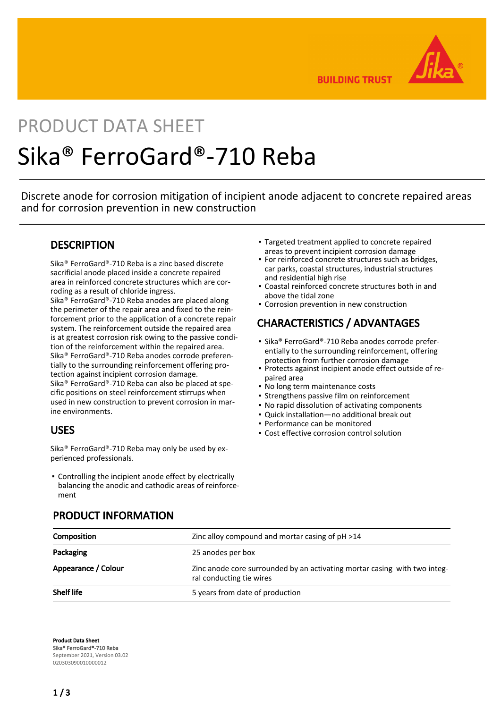

**BUILDING TRUST** 

# PRODUCT DATA SHEET Sika® FerroGard®-710 Reba

Discrete anode for corrosion mitigation of incipient anode adjacent to concrete repaired areas and for corrosion prevention in new construction

## **DESCRIPTION**

Sika® FerroGard®-710 Reba is a zinc based discrete sacrificial anode placed inside a concrete repaired area in reinforced concrete structures which are corroding as a result of chloride ingress.

Sika® FerroGard®-710 Reba anodes are placed along the perimeter of the repair area and fixed to the reinforcement prior to the application of a concrete repair system. The reinforcement outside the repaired area is at greatest corrosion risk owing to the passive condition of the reinforcement within the repaired area. Sika® FerroGard®-710 Reba anodes corrode preferentially to the surrounding reinforcement offering protection against incipient corrosion damage. Sika® FerroGard®-710 Reba can also be placed at specific positions on steel reinforcement stirrups when used in new construction to prevent corrosion in marine environments.

## USES

Sika® FerroGard®-710 Reba may only be used by experienced professionals.

Controlling the incipient anode effect by electrically ▪ balancing the anodic and cathodic areas of reinforcement

- Targeted treatment applied to concrete repaired areas to prevent incipient corrosion damage
- **For reinforced concrete structures such as bridges,** car parks, coastal structures, industrial structures and residential high rise
- Coastal reinforced concrete structures both in and above the tidal zone
- **Corrosion prevention in new construction**

## CHARACTERISTICS / ADVANTAGES

- Sika® FerroGard®-710 Reba anodes corrode preferentially to the surrounding reinforcement, offering protection from further corrosion damage
- Protects against incipient anode effect outside of re-▪ paired area
- No long term maintenance costs
- **Strengthens passive film on reinforcement**
- No rapid dissolution of activating components
- Quick installation—no additional break out
- Performance can be monitored
- Cost effective corrosion control solution

| <b>Composition</b>  | Zinc alloy compound and mortar casing of pH >14                                                                            |  |
|---------------------|----------------------------------------------------------------------------------------------------------------------------|--|
| Packaging           | 25 anodes per box<br>Zinc anode core surrounded by an activating mortar casing with two integ-<br>ral conducting tie wires |  |
| Appearance / Colour |                                                                                                                            |  |
| <b>Shelf life</b>   | 5 years from date of production                                                                                            |  |

## PRODUCT INFORMATION

Product Data Sheet Sika® FerroGard®-710 Reba September 2021, Version 03.02 020303090010000012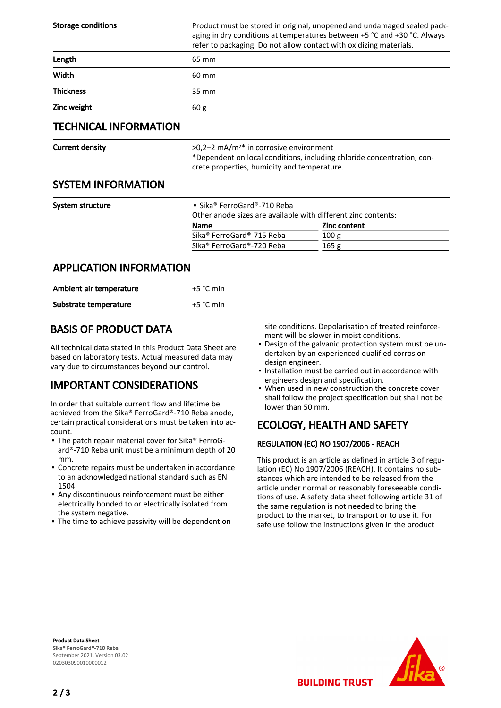| <b>Storage conditions</b>      | Product must be stored in original, unopened and undamaged sealed pack-<br>aging in dry conditions at temperatures between +5 °C and +30 °C. Always<br>refer to packaging. Do not allow contact with oxidizing materials. |                                                  |  |
|--------------------------------|---------------------------------------------------------------------------------------------------------------------------------------------------------------------------------------------------------------------------|--------------------------------------------------|--|
| Length                         | 65 mm                                                                                                                                                                                                                     |                                                  |  |
| Width                          | 60 mm                                                                                                                                                                                                                     |                                                  |  |
| <b>Thickness</b>               | 35 mm                                                                                                                                                                                                                     |                                                  |  |
| Zinc weight                    | 60 g                                                                                                                                                                                                                      |                                                  |  |
| <b>TECHNICAL INFORMATION</b>   |                                                                                                                                                                                                                           |                                                  |  |
| <b>Current density</b>         | $>0.2-2$ mA/m <sup>2*</sup> in corrosive environment<br>*Dependent on local conditions, including chloride concentration, con-<br>crete properties, humidity and temperature.                                             |                                                  |  |
| <b>SYSTEM INFORMATION</b>      |                                                                                                                                                                                                                           |                                                  |  |
| System structure               | $\bullet$ Sika® FerroGard®-710 Reba<br>Other anode sizes are available with different zinc contents:<br><b>Name</b><br>Sika® FerroGard®-715 Reba<br>Sika® FerroGard®-720 Reba                                             | <b>Zinc content</b><br>100 <sub>g</sub><br>165 g |  |
| <b>APPLICATION INFORMATION</b> |                                                                                                                                                                                                                           |                                                  |  |

| Ambient air temperature | $+5 °C$ min |
|-------------------------|-------------|
| Substrate temperature   | $+5$ °C min |

## BASIS OF PRODUCT DATA

All technical data stated in this Product Data Sheet are based on laboratory tests. Actual measured data may vary due to circumstances beyond our control.

## IMPORTANT CONSIDERATIONS

In order that suitable current flow and lifetime be achieved from the Sika® FerroGard®-710 Reba anode, certain practical considerations must be taken into account.

- The patch repair material cover for Sika® FerroGard®-710 Reba unit must be a minimum depth of 20 mm.
- Concrete repairs must be undertaken in accordance to an acknowledged national standard such as EN 1504.
- Any discontinuous reinforcement must be either electrically bonded to or electrically isolated from the system negative.
- **The time to achieve passivity will be dependent on**

site conditions. Depolarisation of treated reinforcement will be slower in moist conditions.

- Design of the galvanic protection system must be un-▪ dertaken by an experienced qualified corrosion design engineer.
- **.** Installation must be carried out in accordance with engineers design and specification.
- When used in new construction the concrete cover shall follow the project specification but shall not be lower than 50 mm. ▪

## ECOLOGY, HEALTH AND SAFETY

**BUILDING TRUST** 

#### REGULATION (EC) NO 1907/2006 - REACH

This product is an article as defined in article 3 of regulation (EC) No 1907/2006 (REACH). It contains no substances which are intended to be released from the article under normal or reasonably foreseeable conditions of use. A safety data sheet following article 31 of the same regulation is not needed to bring the product to the market, to transport or to use it. For safe use follow the instructions given in the product

Product Data Sheet Sika® FerroGard®-710 Reba September 2021, Version 03.02 020303090010000012